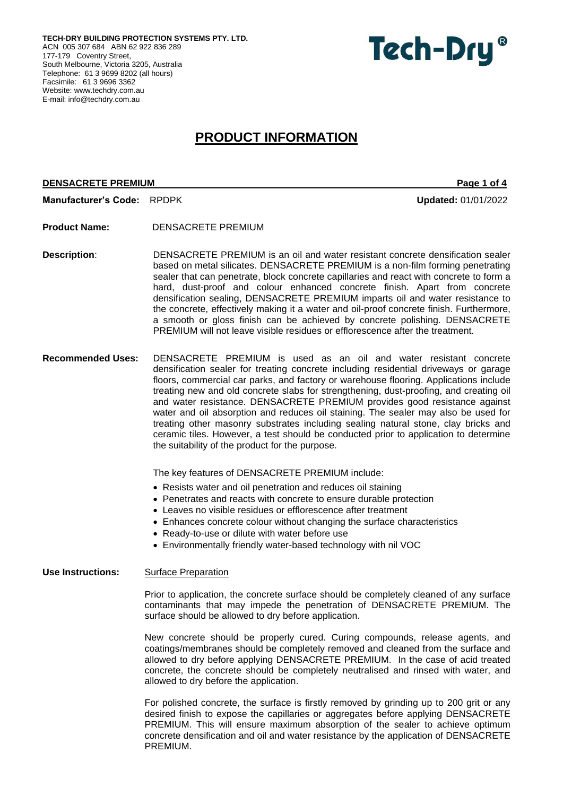**TECH-DRY BUILDING PROTECTION SYSTEMS PTY. LTD.** ACN 005 307 684 ABN 62 922 836 289 177-179 Coventry Street, South Melbourne, Victoria 3205, Australia Telephone: 61 3 9699 8202 (all hours) Facsimile: 61 3 9696 3362 Website[: www.techdry.com.au](http://www.techdry.com.au/) E-mail: [info@techdry.com.au](mailto:info@techdry.com.au)



# **PRODUCT INFORMATION**

## **DENSACRETE PREMIUM Page 1 of 4**

**Manufacturer's Code:** RPDPK **Updated:** 01/01/2022

- **Product Name:** DENSACRETE PREMIUM
- **Description**: DENSACRETE PREMIUM is an oil and water resistant concrete densification sealer based on metal silicates. DENSACRETE PREMIUM is a non-film forming penetrating sealer that can penetrate, block concrete capillaries and react with concrete to form a hard, dust-proof and colour enhanced concrete finish. Apart from concrete densification sealing, DENSACRETE PREMIUM imparts oil and water resistance to the concrete, effectively making it a water and oil-proof concrete finish. Furthermore, a smooth or gloss finish can be achieved by concrete polishing. DENSACRETE PREMIUM will not leave visible residues or efflorescence after the treatment.
- **Recommended Uses:** DENSACRETE PREMIUM is used as an oil and water resistant concrete densification sealer for treating concrete including residential driveways or garage floors, commercial car parks, and factory or warehouse flooring. Applications include treating new and old concrete slabs for strengthening, dust-proofing, and creating oil and water resistance. DENSACRETE PREMIUM provides good resistance against water and oil absorption and reduces oil staining. The sealer may also be used for treating other masonry substrates including sealing natural stone, clay bricks and ceramic tiles. However, a test should be conducted prior to application to determine the suitability of the product for the purpose.

The key features of DENSACRETE PREMIUM include:

- Resists water and oil penetration and reduces oil staining
- Penetrates and reacts with concrete to ensure durable protection
- Leaves no visible residues or efflorescence after treatment
- Enhances concrete colour without changing the surface characteristics
- Ready-to-use or dilute with water before use
- Environmentally friendly water-based technology with nil VOC

# Use Instructions: Surface Preparation

Prior to application, the concrete surface should be completely cleaned of any surface contaminants that may impede the penetration of DENSACRETE PREMIUM. The surface should be allowed to dry before application.

New concrete should be properly cured. Curing compounds, release agents, and coatings/membranes should be completely removed and cleaned from the surface and allowed to dry before applying DENSACRETE PREMIUM. In the case of acid treated concrete, the concrete should be completely neutralised and rinsed with water, and allowed to dry before the application.

For polished concrete, the surface is firstly removed by grinding up to 200 grit or any desired finish to expose the capillaries or aggregates before applying DENSACRETE PREMIUM. This will ensure maximum absorption of the sealer to achieve optimum concrete densification and oil and water resistance by the application of DENSACRETE PREMIUM.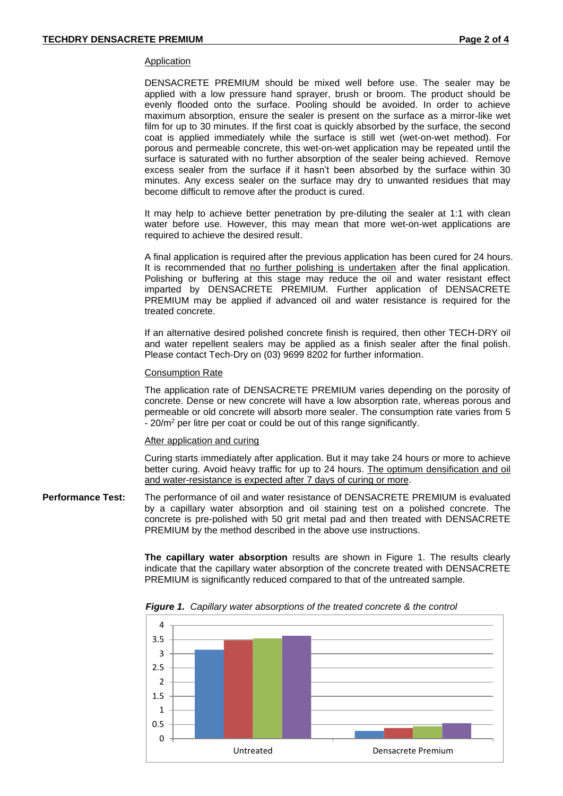#### Application

DENSACRETE PREMIUM should be mixed well before use. The sealer may be applied with a low pressure hand sprayer, brush or broom. The product should be evenly flooded onto the surface. Pooling should be avoided. In order to achieve maximum absorption, ensure the sealer is present on the surface as a mirror-like wet film for up to 30 minutes. If the first coat is quickly absorbed by the surface, the second coat is applied immediately while the surface is still wet (wet-on-wet method). For porous and permeable concrete, this wet-on-wet application may be repeated until the surface is saturated with no further absorption of the sealer being achieved. Remove excess sealer from the surface if it hasn't been absorbed by the surface within 30 minutes. Any excess sealer on the surface may dry to unwanted residues that may become difficult to remove after the product is cured.

It may help to achieve better penetration by pre-diluting the sealer at 1:1 with clean water before use. However, this may mean that more wet-on-wet applications are required to achieve the desired result.

A final application is required after the previous application has been cured for 24 hours. It is recommended that no further polishing is undertaken after the final application. Polishing or buffering at this stage may reduce the oil and water resistant effect imparted by DENSACRETE PREMIUM. Further application of DENSACRETE PREMIUM may be applied if advanced oil and water resistance is required for the treated concrete.

If an alternative desired polished concrete finish is required, then other TECH-DRY oil and water repellent sealers may be applied as a finish sealer after the final polish. Please contact Tech-Dry on (03) 9699 8202 for further information.

## Consumption Rate

The application rate of DENSACRETE PREMIUM varies depending on the porosity of concrete. Dense or new concrete will have a low absorption rate, whereas porous and permeable or old concrete will absorb more sealer. The consumption rate varies from 5 - 20/m<sup>2</sup> per litre per coat or could be out of this range significantly.

#### After application and curing

Curing starts immediately after application. But it may take 24 hours or more to achieve better curing. Avoid heavy traffic for up to 24 hours. The optimum densification and oil and water-resistance is expected after 7 days of curing or more.

**Performance Test:** The performance of oil and water resistance of DENSACRETE PREMIUM is evaluated by a capillary water absorption and oil staining test on a polished concrete. The concrete is pre-polished with 50 grit metal pad and then treated with DENSACRETE PREMIUM by the method described in the above use instructions.

> **The capillary water absorption** results are shown in Figure 1. The results clearly indicate that the capillary water absorption of the concrete treated with DENSACRETE PREMIUM is significantly reduced compared to that of the untreated sample.



 *Figure 1. Capillary water absorptions of the treated concrete & the control*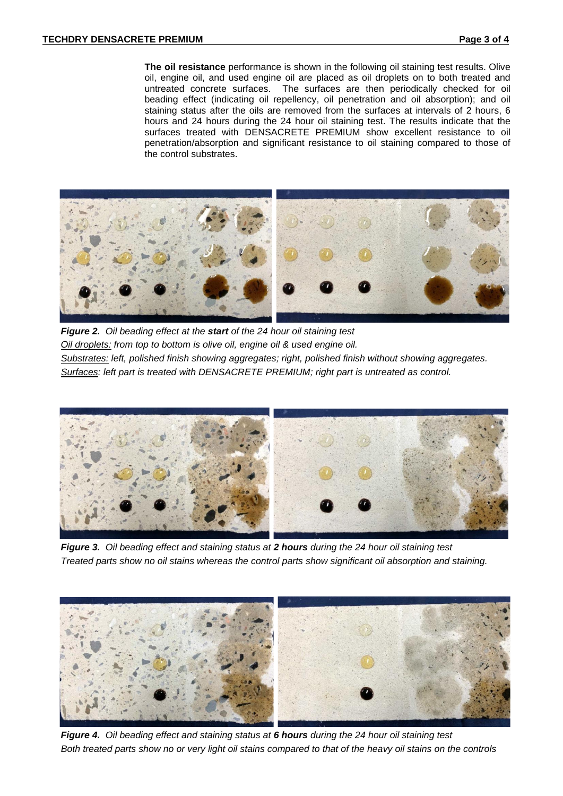**The oil resistance** performance is shown in the following oil staining test results. Olive oil, engine oil, and used engine oil are placed as oil droplets on to both treated and untreated concrete surfaces. The surfaces are then periodically checked for oil beading effect (indicating oil repellency, oil penetration and oil absorption); and oil staining status after the oils are removed from the surfaces at intervals of 2 hours, 6 hours and 24 hours during the 24 hour oil staining test. The results indicate that the surfaces treated with DENSACRETE PREMIUM show excellent resistance to oil penetration/absorption and significant resistance to oil staining compared to those of the control substrates.



 *Figure 2. Oil beading effect at the start of the 24 hour oil staining test Oil droplets: from top to bottom is olive oil, engine oil & used engine oil. Substrates: left, polished finish showing aggregates; right, polished finish without showing aggregates. Surfaces: left part is treated with DENSACRETE PREMIUM; right part is untreated as control.*



 *Figure 3. Oil beading effect and staining status at 2 hours during the 24 hour oil staining test Treated parts show no oil stains whereas the control parts show significant oil absorption and staining.*



 *Figure 4. Oil beading effect and staining status at 6 hours during the 24 hour oil staining test Both treated parts show no or very light oil stains compared to that of the heavy oil stains on the controls*